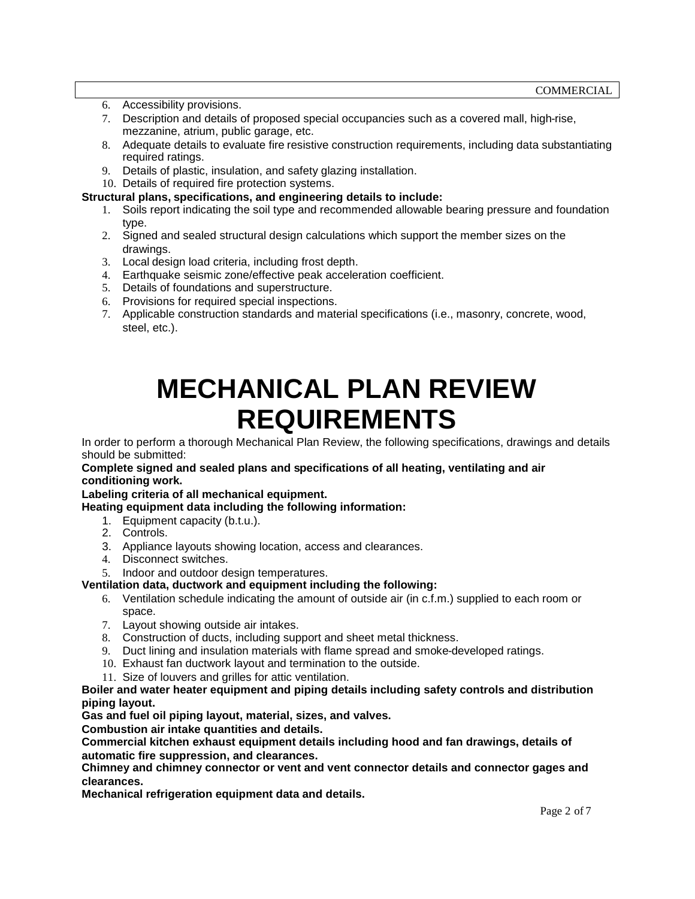- 6. Accessibility provisions.
- 7. Description and details of proposed special occupancies such as a covered mall, high-rise, mezzanine, atrium, public garage, etc.
- 8. Adequate details to evaluate fire resistive construction requirements, including data substantiating required ratings.
- 9. Details of plastic, insulation, and safety glazing installation.
- 10. Details of required fire protection systems.

#### **Structural plans, specifications, and engineering details to include:**

- 1. Soils report indicating the soil type and recommended allowable bearing pressure and foundation type.
- 2. Signed and sealed structural design calculations which support the member sizes on the drawings.
- 3. Local design load criteria, including frost depth.
- 4. Earthquake seismic zone/effective peak acceleration coefficient.
- 5. Details of foundations and superstructure.
- 6. Provisions for required special inspections.
- 7. Applicable construction standards and material specifications (i.e., masonry, concrete, wood, steel, etc.).

# **MECHANICAL PLAN REVIEW REQUIREMENTS**

In order to perform a thorough Mechanical Plan Review, the following specifications, drawings and details should be submitted:

#### **Complete signed and sealed plans and specifications of all heating, ventilating and air conditioning work.**

**Labeling criteria of all mechanical equipment.**

**Heating equipment data including the following information:**

- 1. Equipment capacity (b.t.u.).
- 2. Controls.
- 3. Appliance layouts showing location, access and clearances.
- 4. Disconnect switches.
- 5. Indoor and outdoor design temperatures.

#### **Ventilation data, ductwork and equipment including the following:**

- 6. Ventilation schedule indicating the amount of outside air (in c.f.m.) supplied to each room or space.
- 7. Layout showing outside air intakes.
- 8. Construction of ducts, including support and sheet metal thickness.
- 9. Duct lining and insulation materials with flame spread and smoke-developed ratings.
- 10. Exhaust fan ductwork layout and termination to the outside.
- 11. Size of louvers and grilles for attic ventilation.

#### **Boiler and water heater equipment and piping details including safety controls and distribution piping layout.**

**Gas and fuel oil piping layout, material, sizes, and valves.**

**Combustion air intake quantities and details.**

**Commercial kitchen exhaust equipment details including hood and fan drawings, details of automatic fire suppression, and clearances.**

**Chimney and chimney connector or vent and vent connector details and connector gages and clearances.**

**Mechanical refrigeration equipment data and details.**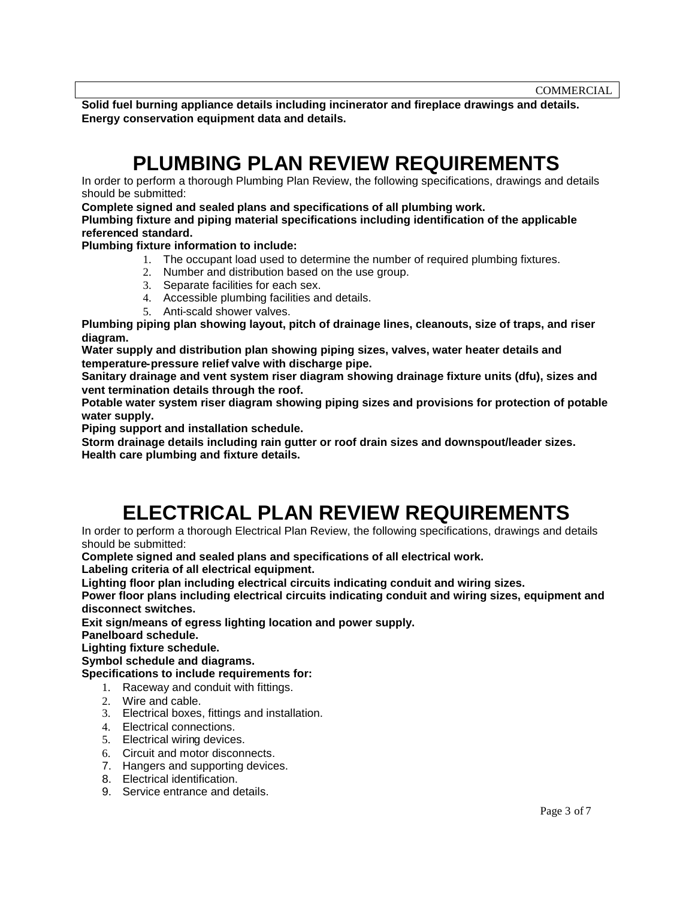**Solid fuel burning appliance details including incinerator and fireplace drawings and details. Energy conservation equipment data and details.**

### **PLUMBING PLAN REVIEW REQUIREMENTS**

In order to perform a thorough Plumbing Plan Review, the following specifications, drawings and details should be submitted:

**Complete signed and sealed plans and specifications of all plumbing work.**

**Plumbing fixture and piping material specifications including identification of the applicable referenced standard.**

**Plumbing fixture information to include:**

- 1. The occupant load used to determine the number of required plumbing fixtures.
- 2. Number and distribution based on the use group.
- 3. Separate facilities for each sex.
- 4. Accessible plumbing facilities and details.
- 5. Anti-scald shower valves.

**Plumbing piping plan showing layout, pitch of drainage lines, cleanouts, size of traps, and riser diagram.**

**Water supply and distribution plan showing piping sizes, valves, water heater details and temperature-pressure relief valve with discharge pipe.**

**Sanitary drainage and vent system riser diagram showing drainage fixture units (dfu), sizes and vent termination details through the roof.**

**Potable water system riser diagram showing piping sizes and provisions for protection of potable water supply.**

**Piping support and installation schedule.**

**Storm drainage details including rain gutter or roof drain sizes and downspout/leader sizes. Health care plumbing and fixture details.**

## **ELECTRICAL PLAN REVIEW REQUIREMENTS**

In order to perform a thorough Electrical Plan Review, the following specifications, drawings and details should be submitted:

**Complete signed and sealed plans and specifications of all electrical work.**

**Labeling criteria of all electrical equipment.**

**Lighting floor plan including electrical circuits indicating conduit and wiring sizes.**

**Power floor plans including electrical circuits indicating conduit and wiring sizes, equipment and disconnect switches.**

**Exit sign/means of egress lighting location and power supply.**

**Panelboard schedule.**

**Lighting fixture schedule.**

**Symbol schedule and diagrams.**

**Specifications to include requirements for:**

- 1. Raceway and conduit with fittings.
- 2. Wire and cable.
- 3. Electrical boxes, fittings and installation.
- 4. Electrical connections.
- 5. Electrical wiring devices.
- 6. Circuit and motor disconnects.
- 7. Hangers and supporting devices.
- 8. Electrical identification.
- 9. Service entrance and details.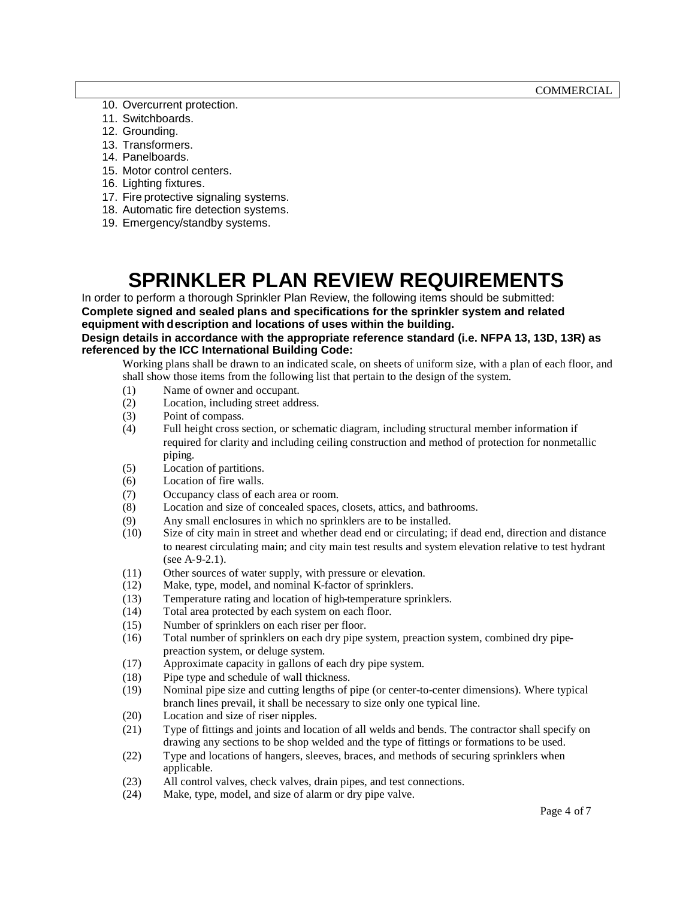- 10. Overcurrent protection.
- 11. Switchboards.
- 12. Grounding.
- 13. Transformers.
- 14. Panelboards.
- 15. Motor control centers.
- 16. Lighting fixtures.
- 17. Fire protective signaling systems.
- 18. Automatic fire detection systems.
- 19. Emergency/standby systems.

## **SPRINKLER PLAN REVIEW REQUIREMENTS**

In order to perform a thorough Sprinkler Plan Review, the following items should be submitted: **Complete signed and sealed plans and specifications for the sprinkler system and related equipment with description and locations of uses within the building. Design details in accordance with the appropriate reference standard (i.e. NFPA 13, 13D, 13R) as referenced by the ICC International Building Code:**

Working plans shall be drawn to an indicated scale, on sheets of uniform size, with a plan of each floor, and shall show those items from the following list that pertain to the design of the system.

- (1) Name of owner and occupant.
- (2) Location, including street address.
- (3) Point of compass.
- (4) Full height cross section, or schematic diagram, including structural member information if required for clarity and including ceiling construction and method of protection for nonmetallic piping.
- (5) Location of partitions.
- (6) Location of fire walls.
- (7) Occupancy class of each area or room.
- (8) Location and size of concealed spaces, closets, attics, and bathrooms.
- (9) Any small enclosures in which no sprinklers are to be installed.
- (10) Size of city main in street and whether dead end or circulating; if dead end, direction and distance to nearest circulating main; and city main test results and system elevation relative to test hydrant (see A-9-2.1).
- (11) Other sources of water supply, with pressure or elevation.
- (12) Make, type, model, and nominal K-factor of sprinklers.
- (13) Temperature rating and location of high-temperature sprinklers.
- (14) Total area protected by each system on each floor.
- (15) Number of sprinklers on each riser per floor.
- (16) Total number of sprinklers on each dry pipe system, preaction system, combined dry pipepreaction system, or deluge system.
- (17) Approximate capacity in gallons of each dry pipe system.
- (18) Pipe type and schedule of wall thickness.
- (19) Nominal pipe size and cutting lengths of pipe (or center-to-center dimensions). Where typical branch lines prevail, it shall be necessary to size only one typical line.
- (20) Location and size of riser nipples.
- (21) Type of fittings and joints and location of all welds and bends. The contractor shall specify on drawing any sections to be shop welded and the type of fittings or formations to be used.
- (22) Type and locations of hangers, sleeves, braces, and methods of securing sprinklers when applicable.
- (23) All control valves, check valves, drain pipes, and test connections.
- (24) Make, type, model, and size of alarm or dry pipe valve.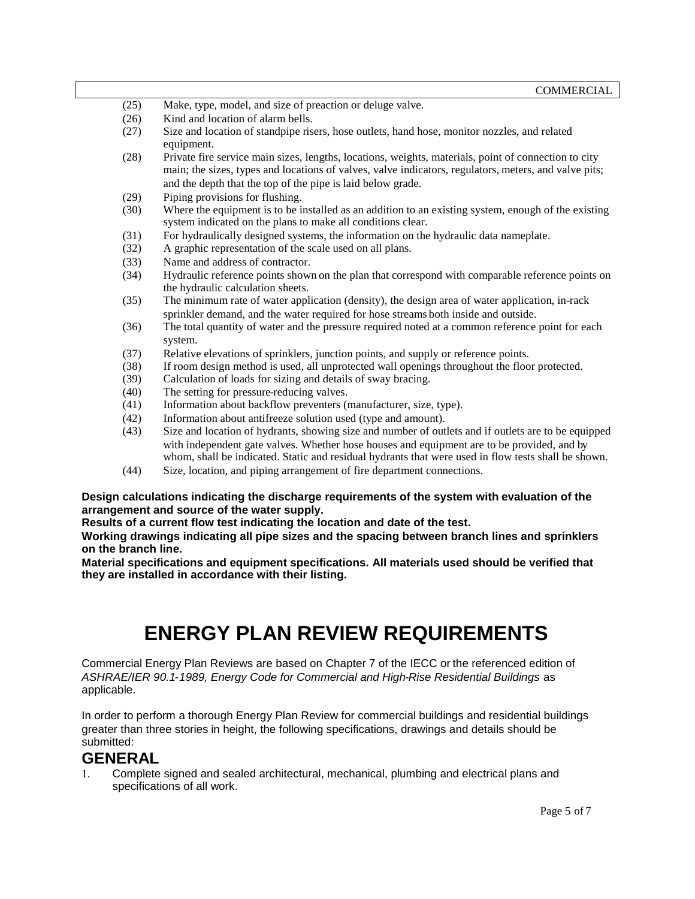| (25) | Make, type, model, and size of preaction or deluge valve.                                                                                                                                                                                                                                                |
|------|----------------------------------------------------------------------------------------------------------------------------------------------------------------------------------------------------------------------------------------------------------------------------------------------------------|
| (26) | Kind and location of alarm bells.                                                                                                                                                                                                                                                                        |
| (27) | Size and location of standpipe risers, hose outlets, hand hose, monitor nozzles, and related<br>equipment.                                                                                                                                                                                               |
| (28) | Private fire service main sizes, lengths, locations, weights, materials, point of connection to city<br>main; the sizes, types and locations of valves, valve indicators, regulators, meters, and valve pits;<br>and the depth that the top of the pipe is laid below grade.                             |
| (29) | Piping provisions for flushing.                                                                                                                                                                                                                                                                          |
| (30) | Where the equipment is to be installed as an addition to an existing system, enough of the existing<br>system indicated on the plans to make all conditions clear.                                                                                                                                       |
| (31) | For hydraulically designed systems, the information on the hydraulic data nameplate.                                                                                                                                                                                                                     |
| (32) | A graphic representation of the scale used on all plans.                                                                                                                                                                                                                                                 |
| (33) | Name and address of contractor.                                                                                                                                                                                                                                                                          |
| (34) | Hydraulic reference points shown on the plan that correspond with comparable reference points on<br>the hydraulic calculation sheets.                                                                                                                                                                    |
| (35) | The minimum rate of water application (density), the design area of water application, in-rack<br>sprinkler demand, and the water required for hose streams both inside and outside.                                                                                                                     |
| (36) | The total quantity of water and the pressure required noted at a common reference point for each<br>system.                                                                                                                                                                                              |
| (37) | Relative elevations of sprinklers, junction points, and supply or reference points.                                                                                                                                                                                                                      |
| (38) | If room design method is used, all unprotected wall openings throughout the floor protected.                                                                                                                                                                                                             |
| (39) | Calculation of loads for sizing and details of sway bracing.                                                                                                                                                                                                                                             |
| (40) | The setting for pressure-reducing valves.                                                                                                                                                                                                                                                                |
| (41) | Information about backflow preventers (manufacturer, size, type).                                                                                                                                                                                                                                        |
| (42) | Information about antifreeze solution used (type and amount).                                                                                                                                                                                                                                            |
| (43) | Size and location of hydrants, showing size and number of outlets and if outlets are to be equipped<br>with independent gate valves. Whether hose houses and equipment are to be provided, and by<br>whom, shall be indicated. Static and residual hydrants that were used in flow tests shall be shown. |
| (44) | Size, location, and piping arrangement of fire department connections.                                                                                                                                                                                                                                   |
|      |                                                                                                                                                                                                                                                                                                          |

**Design calculations indicating the discharge requirements of the system with evaluation of the arrangement and source of the water supply.**

**Results of a current flow test indicating the location and date of the test.**

**Working drawings indicating all pipe sizes and the spacing between branch lines and sprinklers on the branch line.**

**Material specifications and equipment specifications. All materials used should be verified that they are installed in accordance with their listing.**

## **ENERGY PLAN REVIEW REQUIREMENTS**

Commercial Energy Plan Reviews are based on Chapter 7 of the IECC or the referenced edition of *ASHRAE/IER 90.1-1989, Energy Code for Commercial and High-Rise Residential Buildings* as applicable.

In order to perform a thorough Energy Plan Review for commercial buildings and residential buildings greater than three stories in height, the following specifications, drawings and details should be submitted:

### **GENERAL**

1. Complete signed and sealed architectural, mechanical, plumbing and electrical plans and specifications of all work.

COMMERCIAL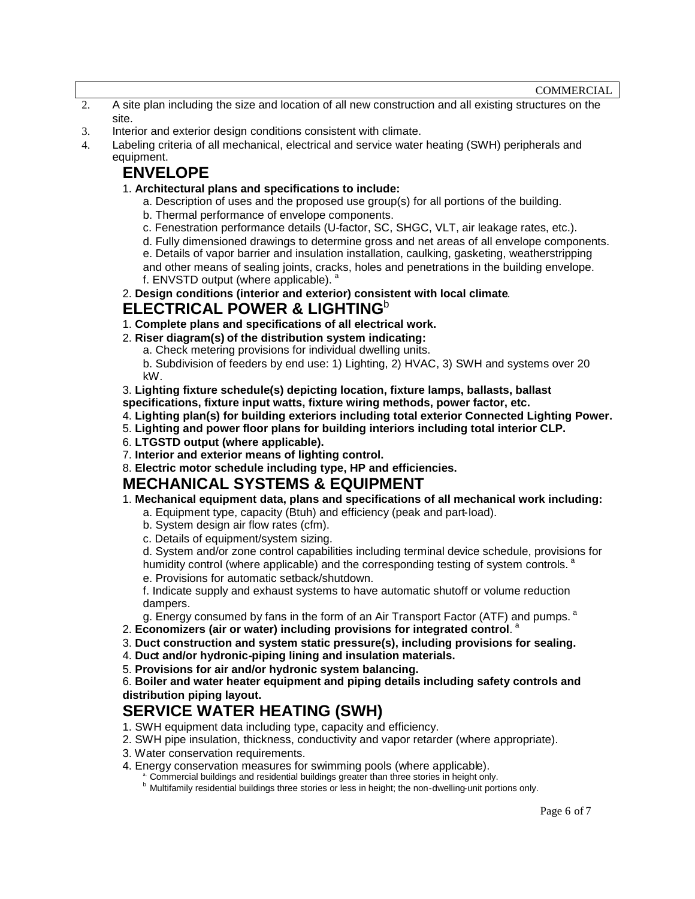- 2. A site plan including the size and location of all new construction and all existing structures on the site.
- 3. Interior and exterior design conditions consistent with climate.
- 4. Labeling criteria of all mechanical, electrical and service water heating (SWH) peripherals and equipment.

### **ENVELOPE**

- 1. **Architectural plans and specifications to include:**
	- a. Description of uses and the proposed use group(s) for all portions of the building.
	- b. Thermal performance of envelope components.
	- c. Fenestration performance details (U-factor, SC, SHGC, VLT, air leakage rates, etc.).
	- d. Fully dimensioned drawings to determine gross and net areas of all envelope components.

e. Details of vapor barrier and insulation installation, caulking, gasketing, weatherstripping and other means of sealing joints, cracks, holes and penetrations in the building envelope. f. ENVSTD output (where applicable).<sup>a</sup>

2. **Design conditions (interior and exterior) consistent with local climate**. **ELECTRICAL POWER & LIGHTING**<sup>b</sup>

- 1. **Complete plans and specifications of all electrical work.**
- 2. **Riser diagram(s) of the distribution system indicating:**
	- a. Check metering provisions for individual dwelling units.

b. Subdivision of feeders by end use: 1) Lighting, 2) HVAC, 3) SWH and systems over 20 kW.

3. **Lighting fixture schedule(s) depicting location, fixture lamps, ballasts, ballast specifications, fixture input watts, fixture wiring methods, power factor, etc.**

- 4. **Lighting plan(s) for building exteriors including total exterior Connected Lighting Power.**
- 5. **Lighting and power floor plans for building interiors including total interior CLP.**
- 6. **LTGSTD output (where applicable).**
- 7. **Interior and exterior means of lighting control.**
- 8. **Electric motor schedule including type, HP and efficiencies.**

#### **MECHANICAL SYSTEMS & EQUIPMENT**

- 1. **Mechanical equipment data, plans and specifications of all mechanical work including:**
	- a. Equipment type, capacity (Btuh) and efficiency (peak and part-load).
	- b. System design air flow rates (cfm).
	- c. Details of equipment/system sizing.

d. System and/or zone control capabilities including terminal device schedule, provisions for humidity control (where applicable) and the corresponding testing of system controls.<sup>a</sup> e. Provisions for automatic setback/shutdown.

f. Indicate supply and exhaust systems to have automatic shutoff or volume reduction dampers.

g. Energy consumed by fans in the form of an Air Transport Factor (ATF) and pumps. <sup>a</sup>

- 2. **Economizers (air or water) including provisions for integrated control**. a
- 3. **Duct construction and system static pressure(s), including provisions for sealing.**
- 4. **Duct and/or hydronic-piping lining and insulation materials.**
- 5. **Provisions for air and/or hydronic system balancing.**

6. **Boiler and water heater equipment and piping details including safety controls and distribution piping layout.**

### **SERVICE WATER HEATING (SWH)**

- 1. SWH equipment data including type, capacity and efficiency.
- 2. SWH pipe insulation, thickness, conductivity and vapor retarder (where appropriate).
- 3. Water conservation requirements.
- 4. Energy conservation measures for swimming pools (where applicable).
	- **A.** Commercial buildings and residential buildings greater than three stories in height only.

**b** Multifamily residential buildings three stories or less in height; the non-dwelling-unit portions only.